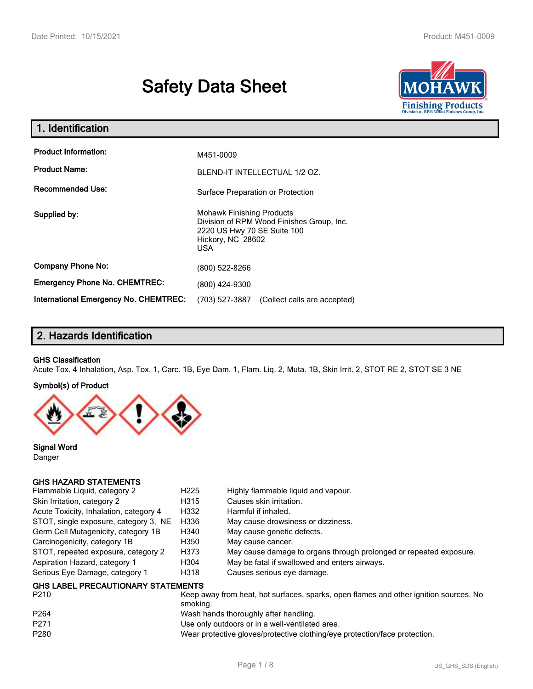# **Safety Data Sheet**



| 1. Identification                            |                                                                                                                                          |  |  |
|----------------------------------------------|------------------------------------------------------------------------------------------------------------------------------------------|--|--|
| <b>Product Information:</b>                  | M451-0009                                                                                                                                |  |  |
| <b>Product Name:</b>                         | BLEND-IT INTELLECTUAL 1/2 OZ.                                                                                                            |  |  |
| <b>Recommended Use:</b>                      | Surface Preparation or Protection                                                                                                        |  |  |
| Supplied by:                                 | <b>Mohawk Finishing Products</b><br>Division of RPM Wood Finishes Group, Inc.<br>2220 US Hwy 70 SE Suite 100<br>Hickory, NC 28602<br>USA |  |  |
| <b>Company Phone No:</b>                     | (800) 522-8266                                                                                                                           |  |  |
| <b>Emergency Phone No. CHEMTREC:</b>         | (800) 424-9300                                                                                                                           |  |  |
| <b>International Emergency No. CHEMTREC:</b> | (703) 527-3887<br>(Collect calls are accepted)                                                                                           |  |  |

# **2. Hazards Identification**

#### **GHS Classification**

Acute Tox. 4 Inhalation, Asp. Tox. 1, Carc. 1B, Eye Dam. 1, Flam. Liq. 2, Muta. 1B, Skin Irrit. 2, STOT RE 2, STOT SE 3 NE

#### **Symbol(s) of Product**



**Signal Word** Danger

## **GHS HAZARD STATEMENTS**

| Flammable Liquid, category 2                      | H <sub>225</sub> | Highly flammable liquid and vapour.                                |
|---------------------------------------------------|------------------|--------------------------------------------------------------------|
| Skin Irritation, category 2                       | H315             | Causes skin irritation.                                            |
| Acute Toxicity, Inhalation, category 4            | H332             | Harmful if inhaled.                                                |
| STOT, single exposure, category 3, NE             | H336             | May cause drowsiness or dizziness.                                 |
| Germ Cell Mutagenicity, category 1B               | H340             | May cause genetic defects.                                         |
| Carcinogenicity, category 1B                      | H350             | May cause cancer.                                                  |
| STOT, repeated exposure, category 2               | H373             | May cause damage to organs through prolonged or repeated exposure. |
| Aspiration Hazard, category 1                     | H304             | May be fatal if swallowed and enters airways.                      |
| Serious Eye Damage, category 1                    | H318             | Causes serious eye damage.                                         |
| <b>GHS LABEL PRECAUTIONARY STATEMENTS</b><br>---- |                  |                                                                    |

| P264<br>Wash hands thoroughly after handling.<br>P <sub>271</sub><br>Use only outdoors or in a well-ventilated area.<br>P280<br>Wear protective gloves/protective clothing/eye protection/face protection. | P210 | Keep away from heat, hot surfaces, sparks, open flames and other ignition sources. No<br>smoking. |
|------------------------------------------------------------------------------------------------------------------------------------------------------------------------------------------------------------|------|---------------------------------------------------------------------------------------------------|
|                                                                                                                                                                                                            |      |                                                                                                   |
|                                                                                                                                                                                                            |      |                                                                                                   |
|                                                                                                                                                                                                            |      |                                                                                                   |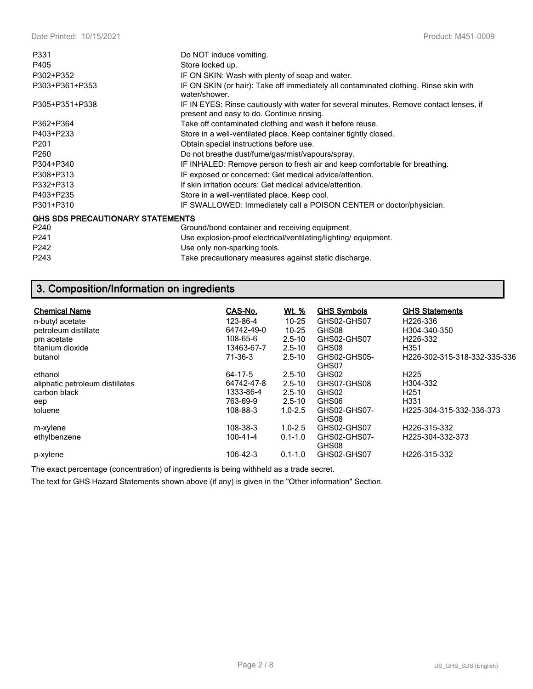| P331                                    | Do NOT induce vomiting.                                                                                                             |
|-----------------------------------------|-------------------------------------------------------------------------------------------------------------------------------------|
| P405                                    | Store locked up.                                                                                                                    |
| P302+P352                               | IF ON SKIN: Wash with plenty of soap and water.                                                                                     |
| P303+P361+P353                          | IF ON SKIN (or hair): Take off immediately all contaminated clothing. Rinse skin with<br>water/shower.                              |
| P305+P351+P338                          | IF IN EYES: Rinse cautiously with water for several minutes. Remove contact lenses, if<br>present and easy to do. Continue rinsing. |
| P362+P364                               | Take off contaminated clothing and wash it before reuse.                                                                            |
| P403+P233                               | Store in a well-ventilated place. Keep container tightly closed.                                                                    |
| P <sub>201</sub>                        | Obtain special instructions before use.                                                                                             |
| P260                                    | Do not breathe dust/fume/gas/mist/vapours/spray.                                                                                    |
| P304+P340                               | IF INHALED: Remove person to fresh air and keep comfortable for breathing.                                                          |
| P308+P313                               | IF exposed or concerned: Get medical advice/attention.                                                                              |
| P332+P313                               | If skin irritation occurs: Get medical advice/attention.                                                                            |
| P403+P235                               | Store in a well-ventilated place. Keep cool.                                                                                        |
| P301+P310                               | IF SWALLOWED: Immediately call a POISON CENTER or doctor/physician.                                                                 |
| <b>GHS SDS PRECAUTIONARY STATEMENTS</b> |                                                                                                                                     |
| P240                                    | Ground/bond container and receiving equipment.                                                                                      |
| P241                                    | Use explosion-proof electrical/ventilating/lighting/equipment.                                                                      |
| P242                                    | Use only non-sparking tools.                                                                                                        |
| P243                                    | Take precautionary measures against static discharge.                                                                               |

# **3. Composition/Information on ingredients**

| <b>Chemical Name</b>            | CAS-No.    | <u>Wt. %</u> | <b>GHS Symbols</b> | <b>GHS Statements</b>         |
|---------------------------------|------------|--------------|--------------------|-------------------------------|
| n-butyl acetate                 | 123-86-4   | $10 - 25$    | GHS02-GHS07        | H <sub>226</sub> -336         |
| petroleum distillate            | 64742-49-0 | $10 - 25$    | GHS08              | H304-340-350                  |
| pm acetate                      | 108-65-6   | $2.5 - 10$   | GHS02-GHS07        | H <sub>226</sub> -332         |
| titanium dioxide                | 13463-67-7 | $2.5 - 10$   | GHS08              | H <sub>351</sub>              |
| butanol                         | 71-36-3    | $2.5 - 10$   | GHS02-GHS05-       | H226-302-315-318-332-335-336  |
|                                 |            |              | GHS07              |                               |
| ethanol                         | 64-17-5    | $2.5 - 10$   | GHS02              | H <sub>225</sub>              |
| aliphatic petroleum distillates | 64742-47-8 | $2.5 - 10$   | GHS07-GHS08        | H304-332                      |
| carbon black                    | 1333-86-4  | $2.5 - 10$   | GHS02              | H <sub>251</sub>              |
| eep                             | 763-69-9   | $2.5 - 10$   | GHS06              | H331                          |
| toluene                         | 108-88-3   | $1.0 - 2.5$  | GHS02-GHS07-       | H225-304-315-332-336-373      |
|                                 |            |              | GHS08              |                               |
| m-xylene                        | 108-38-3   | $1.0 - 2.5$  | GHS02-GHS07        | H226-315-332                  |
| ethylbenzene                    | 100-41-4   | $0.1 - 1.0$  | GHS02-GHS07-       | H <sub>225</sub> -304-332-373 |
|                                 |            |              | GHS08              |                               |
| p-xylene                        | 106-42-3   | $0.1 - 1.0$  | GHS02-GHS07        | H226-315-332                  |

The exact percentage (concentration) of ingredients is being withheld as a trade secret.

The text for GHS Hazard Statements shown above (if any) is given in the "Other information" Section.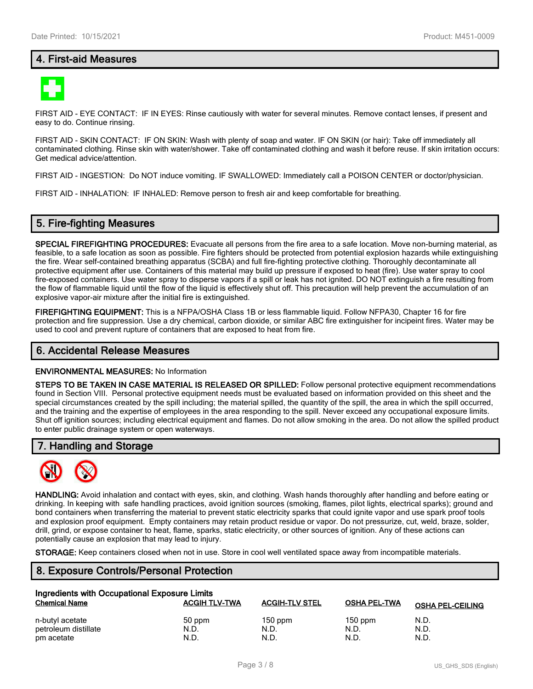# **4. First-aid Measures**



FIRST AID - EYE CONTACT: IF IN EYES: Rinse cautiously with water for several minutes. Remove contact lenses, if present and easy to do. Continue rinsing.

FIRST AID - SKIN CONTACT: IF ON SKIN: Wash with plenty of soap and water. IF ON SKIN (or hair): Take off immediately all contaminated clothing. Rinse skin with water/shower. Take off contaminated clothing and wash it before reuse. If skin irritation occurs: Get medical advice/attention.

FIRST AID - INGESTION: Do NOT induce vomiting. IF SWALLOWED: Immediately call a POISON CENTER or doctor/physician.

FIRST AID - INHALATION: IF INHALED: Remove person to fresh air and keep comfortable for breathing.

## **5. Fire-fighting Measures**

**SPECIAL FIREFIGHTING PROCEDURES:** Evacuate all persons from the fire area to a safe location. Move non-burning material, as feasible, to a safe location as soon as possible. Fire fighters should be protected from potential explosion hazards while extinguishing the fire. Wear self-contained breathing apparatus (SCBA) and full fire-fighting protective clothing. Thoroughly decontaminate all protective equipment after use. Containers of this material may build up pressure if exposed to heat (fire). Use water spray to cool fire-exposed containers. Use water spray to disperse vapors if a spill or leak has not ignited. DO NOT extinguish a fire resulting from the flow of flammable liquid until the flow of the liquid is effectively shut off. This precaution will help prevent the accumulation of an explosive vapor-air mixture after the initial fire is extinguished.

**FIREFIGHTING EQUIPMENT:** This is a NFPA/OSHA Class 1B or less flammable liquid. Follow NFPA30, Chapter 16 for fire protection and fire suppression. Use a dry chemical, carbon dioxide, or similar ABC fire extinguisher for incipeint fires. Water may be used to cool and prevent rupture of containers that are exposed to heat from fire.

#### **6. Accidental Release Measures**

#### **ENVIRONMENTAL MEASURES:** No Information

**STEPS TO BE TAKEN IN CASE MATERIAL IS RELEASED OR SPILLED:** Follow personal protective equipment recommendations found in Section VIII. Personal protective equipment needs must be evaluated based on information provided on this sheet and the special circumstances created by the spill including; the material spilled, the quantity of the spill, the area in which the spill occurred, and the training and the expertise of employees in the area responding to the spill. Never exceed any occupational exposure limits. Shut off ignition sources; including electrical equipment and flames. Do not allow smoking in the area. Do not allow the spilled product to enter public drainage system or open waterways.

#### **7. Handling and Storage**



**HANDLING:** Avoid inhalation and contact with eyes, skin, and clothing. Wash hands thoroughly after handling and before eating or drinking. In keeping with safe handling practices, avoid ignition sources (smoking, flames, pilot lights, electrical sparks); ground and bond containers when transferring the material to prevent static electricity sparks that could ignite vapor and use spark proof tools and explosion proof equipment. Empty containers may retain product residue or vapor. Do not pressurize, cut, weld, braze, solder, drill, grind, or expose container to heat, flame, sparks, static electricity, or other sources of ignition. Any of these actions can potentially cause an explosion that may lead to injury.

**STORAGE:** Keep containers closed when not in use. Store in cool well ventilated space away from incompatible materials.

## **8. Exposure Controls/Personal Protection**

| Ingredients with Occupational Exposure Limits |                      |                       |              |                         |  |  |
|-----------------------------------------------|----------------------|-----------------------|--------------|-------------------------|--|--|
| <b>Chemical Name</b>                          | <b>ACGIH TLV-TWA</b> | <b>ACGIH-TLV STEL</b> | OSHA PEL-TWA | <b>OSHA PEL-CEILING</b> |  |  |
| n-butyl acetate                               | 50 ppm               | $150$ ppm             | $150$ ppm    | N.D.                    |  |  |
| petroleum distillate                          | N.D.                 | N.D.                  | N.D.         | N.D.                    |  |  |
| pm acetate                                    | N.D.                 | N.D.                  | N.D.         | N.D.                    |  |  |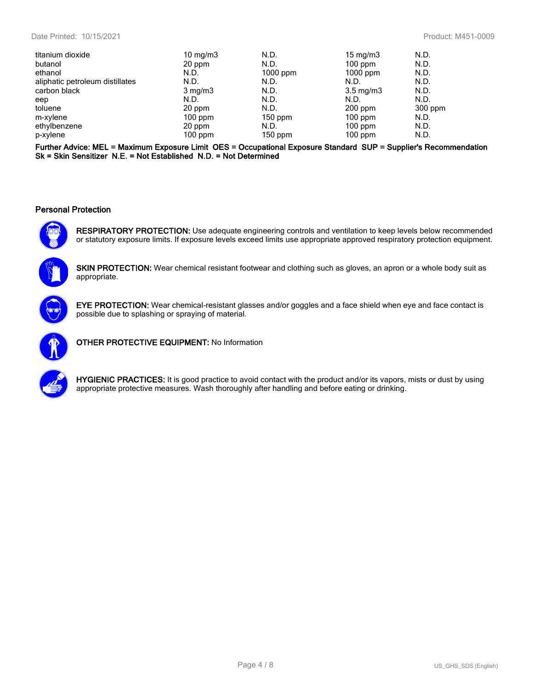| titanium dioxide                | 10 mg/m $3$      | N.D.       | $15 \text{ mg/m}$  | N.D.    |
|---------------------------------|------------------|------------|--------------------|---------|
| butanol                         | 20 ppm           | N.D.       | $100$ ppm          | N.D.    |
| ethanol                         | N.D.             | $1000$ ppm | $1000$ ppm         | N.D.    |
| aliphatic petroleum distillates | N.D.             | N.D.       | N.D.               | N.D.    |
| carbon black                    | $3 \text{ mg/m}$ | N.D.       | $3.5 \text{ mg/m}$ | N.D.    |
| eep                             | N.D.             | N.D.       | N.D.               | N.D.    |
| toluene                         | 20 ppm           | N.D.       | $200$ ppm          | 300 ppm |
| m-xylene                        | $100$ ppm        | $150$ ppm  | $100$ ppm          | N.D.    |
| ethylbenzene                    | 20 ppm           | N.D.       | $100$ ppm          | N.D.    |
| p-xylene                        | $100$ ppm        | $150$ ppm  | $100$ ppm          | N.D.    |
|                                 |                  |            |                    |         |

**Further Advice: MEL = Maximum Exposure Limit OES = Occupational Exposure Standard SUP = Supplier's Recommendation Sk = Skin Sensitizer N.E. = Not Established N.D. = Not Determined**

#### **Personal Protection**



**RESPIRATORY PROTECTION:** Use adequate engineering controls and ventilation to keep levels below recommended or statutory exposure limits. If exposure levels exceed limits use appropriate approved respiratory protection equipment.



**SKIN PROTECTION:** Wear chemical resistant footwear and clothing such as gloves, an apron or a whole body suit as appropriate.



**EYE PROTECTION:** Wear chemical-resistant glasses and/or goggles and a face shield when eye and face contact is possible due to splashing or spraying of material.



**OTHER PROTECTIVE EQUIPMENT:** No Information



**HYGIENIC PRACTICES:** It is good practice to avoid contact with the product and/or its vapors, mists or dust by using appropriate protective measures. Wash thoroughly after handling and before eating or drinking.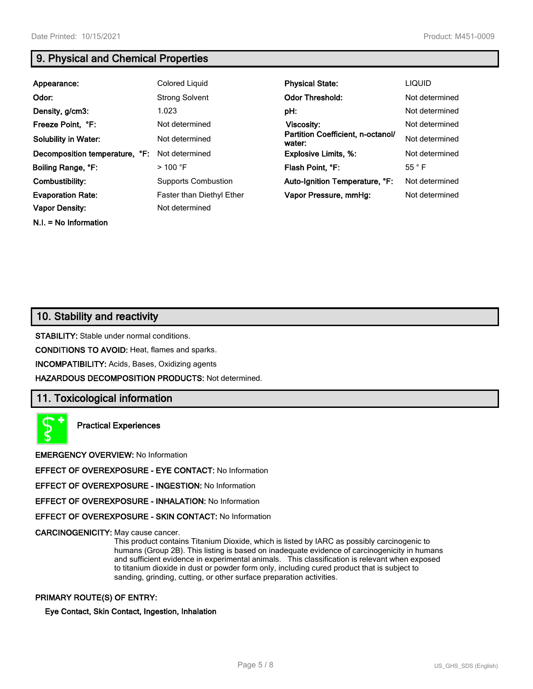**N.I. = No Information**

# **9. Physical and Chemical Properties**

| Appearance:                    | Colored Liquid                   | <b>Physical State:</b>                      | <b>LIQUID</b>  |
|--------------------------------|----------------------------------|---------------------------------------------|----------------|
| Odor:                          | <b>Strong Solvent</b>            | <b>Odor Threshold:</b>                      | Not determined |
| Density, g/cm3:                | 1.023                            | pH:                                         | Not determined |
| Freeze Point, °F:              | Not determined                   | Viscosity:                                  | Not determined |
| <b>Solubility in Water:</b>    | Not determined                   | Partition Coefficient, n-octanol/<br>water: | Not determined |
| Decomposition temperature, °F: | Not determined                   | <b>Explosive Limits, %:</b>                 | Not determined |
| Boiling Range, °F:             | $>$ 100 °F                       | Flash Point, °F:                            | $55^{\circ}$ F |
| Combustibility:                | <b>Supports Combustion</b>       | Auto-Ignition Temperature, °F:              | Not determined |
| <b>Evaporation Rate:</b>       | <b>Faster than Diethyl Ether</b> | Vapor Pressure, mmHg:                       | Not determined |
| <b>Vapor Density:</b>          | Not determined                   |                                             |                |

# **10. Stability and reactivity**

**STABILITY:** Stable under normal conditions.

**CONDITIONS TO AVOID:** Heat, flames and sparks.

**INCOMPATIBILITY:** Acids, Bases, Oxidizing agents

**HAZARDOUS DECOMPOSITION PRODUCTS:** Not determined.

## **11. Toxicological information**

**Practical Experiences**

**EMERGENCY OVERVIEW:** No Information

**EFFECT OF OVEREXPOSURE - EYE CONTACT:** No Information

**EFFECT OF OVEREXPOSURE - INGESTION:** No Information

**EFFECT OF OVEREXPOSURE - INHALATION:** No Information

**EFFECT OF OVEREXPOSURE - SKIN CONTACT:** No Information

**CARCINOGENICITY:** May cause cancer.

This product contains Titanium Dioxide, which is listed by IARC as possibly carcinogenic to humans (Group 2B). This listing is based on inadequate evidence of carcinogenicity in humans and sufficient evidence in experimental animals. This classification is relevant when exposed to titanium dioxide in dust or powder form only, including cured product that is subject to sanding, grinding, cutting, or other surface preparation activities.

#### **PRIMARY ROUTE(S) OF ENTRY:**

**Eye Contact, Skin Contact, Ingestion, Inhalation**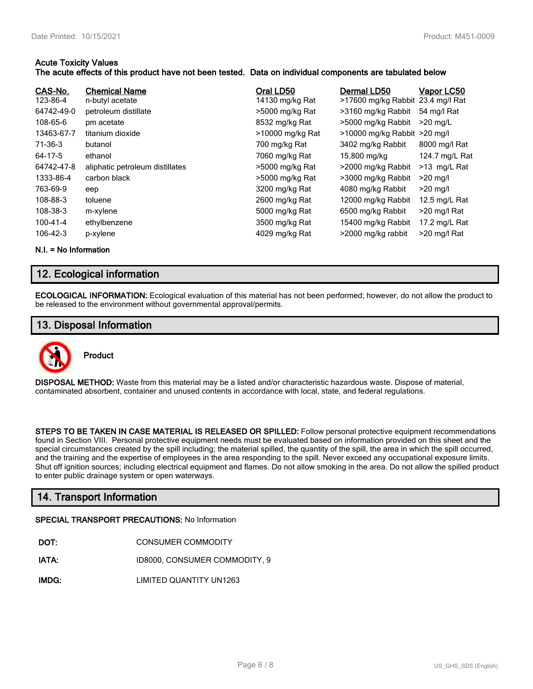#### **Acute Toxicity Values**

### **The acute effects of this product have not been tested. Data on individual components are tabulated below**

| CAS-No.<br>123-86-4 | <b>Chemical Name</b><br>n-butyl acetate | Oral LD50<br>14130 mg/kg Rat | Dermal LD50<br>>17600 mg/kg Rabbit 23.4 mg/l Rat | Vapor LC50      |
|---------------------|-----------------------------------------|------------------------------|--------------------------------------------------|-----------------|
| 64742-49-0          | petroleum distillate                    | >5000 mg/kg Rat              | >3160 mg/kg Rabbit                               | 54 mg/l Rat     |
| 108-65-6            | pm acetate                              | 8532 mg/kg Rat               | >5000 mg/kg Rabbit                               | $>20$ ma/L      |
| 13463-67-7          | titanium dioxide                        | >10000 mg/kg Rat             | >10000 mg/kg Rabbit >20 mg/l                     |                 |
| 71-36-3             | butanol                                 | 700 mg/kg Rat                | 3402 mg/kg Rabbit                                | 8000 mg/l Rat   |
| 64-17-5             | ethanol                                 | 7060 mg/kg Rat               | 15,800 mg/kg                                     | 124.7 mg/L Rat  |
| 64742-47-8          | aliphatic petroleum distillates         | >5000 mg/kg Rat              | >2000 mg/kg Rabbit                               | >13 mg/L Rat    |
| 1333-86-4           | carbon black                            | >5000 mg/kg Rat              | >3000 mg/kg Rabbit                               | $>20$ ma/l      |
| 763-69-9            | eep                                     | 3200 mg/kg Rat               | 4080 mg/kg Rabbit                                | $>20$ mg/l      |
| 108-88-3            | toluene                                 | 2600 mg/kg Rat               | 12000 mg/kg Rabbit                               | 12.5 mg/L Rat   |
| 108-38-3            | m-xylene                                | 5000 mg/kg Rat               | 6500 mg/kg Rabbit                                | $>$ 20 mg/l Rat |
| 100-41-4            | ethylbenzene                            | 3500 mg/kg Rat               | 15400 mg/kg Rabbit                               | 17.2 mg/L Rat   |
| 106-42-3            | p-xylene                                | 4029 mg/kg Rat               | >2000 mg/kg rabbit                               | >20 mg/l Rat    |

**N.I. = No Information**

# **12. Ecological information**

**ECOLOGICAL INFORMATION:** Ecological evaluation of this material has not been performed; however, do not allow the product to be released to the environment without governmental approval/permits.

# **13. Disposal Information**



**DISPOSAL METHOD:** Waste from this material may be a listed and/or characteristic hazardous waste. Dispose of material, contaminated absorbent, container and unused contents in accordance with local, state, and federal regulations.

**STEPS TO BE TAKEN IN CASE MATERIAL IS RELEASED OR SPILLED:** Follow personal protective equipment recommendations found in Section VIII. Personal protective equipment needs must be evaluated based on information provided on this sheet and the special circumstances created by the spill including; the material spilled, the quantity of the spill, the area in which the spill occurred, and the training and the expertise of employees in the area responding to the spill. Never exceed any occupational exposure limits. Shut off ignition sources; including electrical equipment and flames. Do not allow smoking in the area. Do not allow the spilled product to enter public drainage system or open waterways.

# **14. Transport Information**

#### **SPECIAL TRANSPORT PRECAUTIONS:** No Information

- **IATA:** ID8000, CONSUMER COMMODITY, 9
- **IMDG:** LIMITED QUANTITY UN1263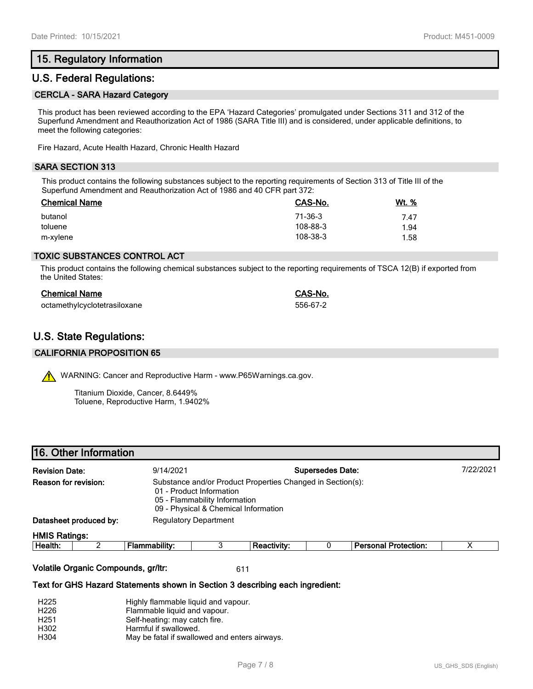# **15. Regulatory Information**

# **U.S. Federal Regulations:**

#### **CERCLA - SARA Hazard Category**

This product has been reviewed according to the EPA 'Hazard Categories' promulgated under Sections 311 and 312 of the Superfund Amendment and Reauthorization Act of 1986 (SARA Title III) and is considered, under applicable definitions, to meet the following categories:

Fire Hazard, Acute Health Hazard, Chronic Health Hazard

#### **SARA SECTION 313**

This product contains the following substances subject to the reporting requirements of Section 313 of Title III of the Superfund Amendment and Reauthorization Act of 1986 and 40 CFR part 372:

| <b>Chemical Name</b> | CAS-No.  | <u>Wt. %</u> |
|----------------------|----------|--------------|
| butanol              | 71-36-3  | 7.47         |
| toluene              | 108-88-3 | 1.94         |
| m-xylene             | 108-38-3 | 1.58         |

#### **TOXIC SUBSTANCES CONTROL ACT**

This product contains the following chemical substances subject to the reporting requirements of TSCA 12(B) if exported from the United States:

| <b>Chemical Name</b>         | CAS-No.  |
|------------------------------|----------|
| octamethylcyclotetrasiloxane | 556-67-2 |

# **U.S. State Regulations:**

#### **CALIFORNIA PROPOSITION 65**

WARNING: Cancer and Reproductive Harm - www.P65Warnings.ca.gov.

Titanium Dioxide, Cancer, 8.6449% Toluene, Reproductive Harm, 1.9402%

| 16. Other Information |           |  |
|-----------------------|-----------|--|
| Dovision Dota:        | 0/11/2021 |  |

| <b>Revision Date:</b>                                                                                                                                                                   |                        | 9/14/2021     |                              |                    | <b>Supersedes Date:</b> |                             | 7/22/2021 |
|-----------------------------------------------------------------------------------------------------------------------------------------------------------------------------------------|------------------------|---------------|------------------------------|--------------------|-------------------------|-----------------------------|-----------|
| Reason for revision:<br>Substance and/or Product Properties Changed in Section(s):<br>01 - Product Information<br>05 - Flammability Information<br>09 - Physical & Chemical Information |                        |               |                              |                    |                         |                             |           |
|                                                                                                                                                                                         | Datasheet produced by: |               | <b>Regulatory Department</b> |                    |                         |                             |           |
| <b>HMIS Ratings:</b>                                                                                                                                                                    |                        |               |                              |                    |                         |                             |           |
| Health:                                                                                                                                                                                 |                        | Flammability: |                              | <b>Reactivity:</b> |                         | <b>Personal Protection:</b> |           |
|                                                                                                                                                                                         |                        |               |                              |                    |                         |                             |           |

#### **Volatile Organic Compounds, gr/ltr:** 611

#### **Text for GHS Hazard Statements shown in Section 3 describing each ingredient:**

| H <sub>225</sub> | Highly flammable liquid and vapour.           |
|------------------|-----------------------------------------------|
| H <sub>226</sub> | Flammable liquid and vapour.                  |
| H <sub>251</sub> | Self-heating: may catch fire.                 |
| H302             | Harmful if swallowed.                         |
| H304             | May be fatal if swallowed and enters airways. |